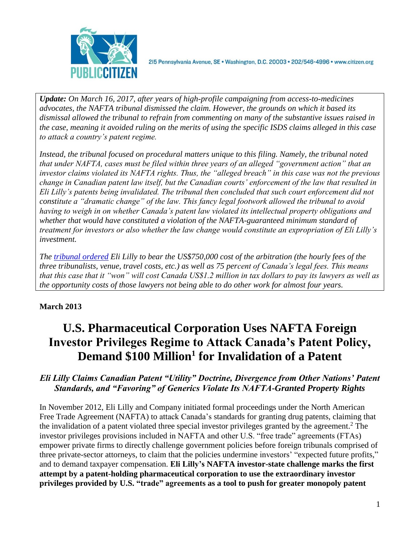

215 Pennsylvania Avenue, SE · Washington, D.C. 20003 · 202/546-4996 · www.citizen.org

*Update: On March 16, 2017, after years of high-profile campaigning from access-to-medicines advocates, the NAFTA tribunal dismissed the claim. However, the grounds on which it based its dismissal allowed the tribunal to refrain from commenting on many of the substantive issues raised in the case, meaning it avoided ruling on the merits of using the specific ISDS claims alleged in this case to attack a country's patent regime.*

*Instead, the tribunal focused on procedural matters unique to this filing. Namely, the tribunal noted that under NAFTA, cases must be filed within three years of an alleged "government action" that an investor claims violated its NAFTA rights. Thus, the "alleged breach" in this case was not the previous change in Canadian patent law itself, but the Canadian courts' enforcement of the law that resulted in Eli Lilly's patents being invalidated. The tribunal then concluded that such court enforcement did not constitute a "dramatic change" of the law. This fancy legal footwork allowed the tribunal to avoid having to weigh in on whether Canada's patent law violated its intellectual property obligations and whether that would have constituted a violation of the NAFTA-guaranteed minimum standard of treatment for investors or also whether the law change would constitute an expropriation of Eli Lilly's investment.*

*The [tribunal](http://www.iareporter.com/articles/in-depth-in-now-public-final-award-tribunal-sees-no-dramatic-change-in-canadian-patent-law-to-ground-eli-lillys-claims-of-nafta-breach) ordered Eli Lilly to bear the US\$750,000 cost of the arbitration (the hourly fees of the three tribunalists, venue, travel costs, etc.) as well as 75 percent of Canada's legal fees. This means that this case that it "won" will cost Canada US\$1.2 million in tax dollars to pay its lawyers as well as the opportunity costs of those lawyers not being able to do other work for almost four years.*

# **March 2013**

# **U.S. Pharmaceutical Corporation Uses NAFTA Foreign Investor Privileges Regime to Attack Canada's Patent Policy, Demand \$100 Million<sup>1</sup> for Invalidation of a Patent**

## *Eli Lilly Claims Canadian Patent "Utility" Doctrine, Divergence from Other Nations' Patent Standards, and "Favoring" of Generics Violate Its NAFTA-Granted Property Rights*

In November 2012, Eli Lilly and Company initiated formal proceedings under the North American Free Trade Agreement (NAFTA) to attack Canada's standards for granting drug patents, claiming that the invalidation of a patent violated three special investor privileges granted by the agreement. <sup>2</sup> The investor privileges provisions included in NAFTA and other U.S. "free trade" agreements (FTAs) empower private firms to directly challenge government policies before foreign tribunals comprised of three private-sector attorneys, to claim that the policies undermine investors' "expected future profits," and to demand taxpayer compensation. **Eli Lilly's NAFTA investor-state challenge marks the first attempt by a patent-holding pharmaceutical corporation to use the extraordinary investor privileges provided by U.S. "trade" agreements as a tool to push for greater monopoly patent**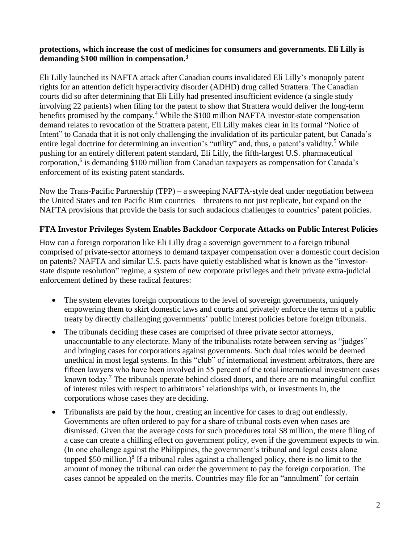#### **protections, which increase the cost of medicines for consumers and governments. Eli Lilly is demanding \$100 million in compensation.<sup>3</sup>**

Eli Lilly launched its NAFTA attack after Canadian courts invalidated Eli Lilly's monopoly patent rights for an attention deficit hyperactivity disorder (ADHD) drug called Strattera. The Canadian courts did so after determining that Eli Lilly had presented insufficient evidence (a single study involving 22 patients) when filing for the patent to show that Strattera would deliver the long-term benefits promised by the company.<sup>4</sup> While the \$100 million NAFTA investor-state compensation demand relates to revocation of the Strattera patent, Eli Lilly makes clear in its formal "Notice of Intent" to Canada that it is not only challenging the invalidation of its particular patent, but Canada's entire legal doctrine for determining an invention's "utility" and, thus, a patent's validity.<sup>5</sup> While pushing for an entirely different patent standard, Eli Lilly, the fifth-largest U.S. pharmaceutical corporation,<sup>6</sup> is demanding \$100 million from Canadian taxpayers as compensation for Canada's enforcement of its existing patent standards.

Now the Trans-Pacific Partnership (TPP) – a sweeping NAFTA-style deal under negotiation between the United States and ten Pacific Rim countries – threatens to not just replicate, but expand on the NAFTA provisions that provide the basis for such audacious challenges to countries' patent policies.

#### **FTA Investor Privileges System Enables Backdoor Corporate Attacks on Public Interest Policies**

How can a foreign corporation like Eli Lilly drag a sovereign government to a foreign tribunal comprised of private-sector attorneys to demand taxpayer compensation over a domestic court decision on patents? NAFTA and similar U.S. pacts have quietly established what is known as the "investorstate dispute resolution" regime, a system of new corporate privileges and their private extra-judicial enforcement defined by these radical features:

- The system elevates foreign corporations to the level of sovereign governments, uniquely empowering them to skirt domestic laws and courts and privately enforce the terms of a public treaty by directly challenging governments' public interest policies before foreign tribunals.
- The tribunals deciding these cases are comprised of three private sector attorneys, unaccountable to any electorate. Many of the tribunalists rotate between serving as "judges" and bringing cases for corporations against governments. Such dual roles would be deemed unethical in most legal systems. In this "club" of international investment arbitrators, there are fifteen lawyers who have been involved in 55 percent of the total international investment cases known today.<sup>7</sup> The tribunals operate behind closed doors, and there are no meaningful conflict of interest rules with respect to arbitrators' relationships with, or investments in, the corporations whose cases they are deciding.
- Tribunalists are paid by the hour, creating an incentive for cases to drag out endlessly. Governments are often ordered to pay for a share of tribunal costs even when cases are dismissed. Given that the average costs for such procedures total \$8 million, the mere filing of a case can create a chilling effect on government policy, even if the government expects to win. (In one challenge against the Philippines, the government's tribunal and legal costs alone topped \$50 million.) $8$  If a tribunal rules against a challenged policy, there is no limit to the amount of money the tribunal can order the government to pay the foreign corporation. The cases cannot be appealed on the merits. Countries may file for an "annulment" for certain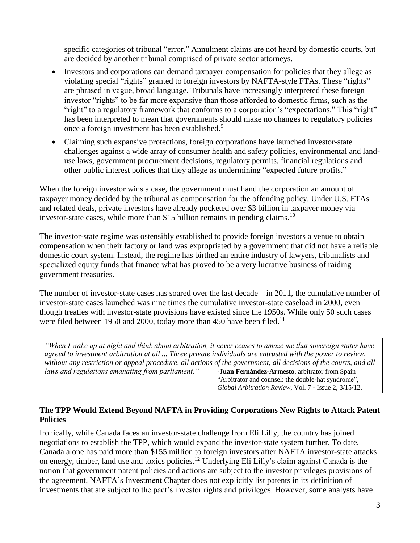specific categories of tribunal "error." Annulment claims are not heard by domestic courts, but are decided by another tribunal comprised of private sector attorneys.

- Investors and corporations can demand taxpayer compensation for policies that they allege as violating special "rights" granted to foreign investors by NAFTA-style FTAs. These "rights" are phrased in vague, broad language. Tribunals have increasingly interpreted these foreign investor "rights" to be far more expansive than those afforded to domestic firms, such as the "right" to a regulatory framework that conforms to a corporation's "expectations." This "right" has been interpreted to mean that governments should make no changes to regulatory policies once a foreign investment has been established.<sup>9</sup>
- Claiming such expansive protections, foreign corporations have launched investor-state challenges against a wide array of consumer health and safety policies, environmental and landuse laws, government procurement decisions, regulatory permits, financial regulations and other public interest polices that they allege as undermining "expected future profits."

When the foreign investor wins a case, the government must hand the corporation an amount of taxpayer money decided by the tribunal as compensation for the offending policy. Under U.S. FTAs and related deals, private investors have already pocketed over \$3 billion in taxpayer money via investor-state cases, while more than \$15 billion remains in pending claims.<sup>10</sup>

The investor-state regime was ostensibly established to provide foreign investors a venue to obtain compensation when their factory or land was expropriated by a government that did not have a reliable domestic court system. Instead, the regime has birthed an entire industry of lawyers, tribunalists and specialized equity funds that finance what has proved to be a very lucrative business of raiding government treasuries.

The number of investor-state cases has soared over the last decade – in 2011, the cumulative number of investor-state cases launched was nine times the cumulative investor-state caseload in 2000, even though treaties with investor-state provisions have existed since the 1950s. While only 50 such cases were filed between 1950 and 2000, today more than 450 have been filed.<sup>11</sup>

*"When I wake up at night and think about arbitration, it never ceases to amaze me that sovereign states have agreed to investment arbitration at all ... Three private individuals are entrusted with the power to review, without any restriction or appeal procedure, all actions of the government, all decisions of the courts, and all laws and regulations emanating from parliament."* -**Juan Fernández-Armesto**, arbitrator from Spain "Arbitrator and counsel: the double-hat syndrome", *Global Arbitration Review*, Vol. 7 - Issue 2, 3/15/12.

#### **The TPP Would Extend Beyond NAFTA in Providing Corporations New Rights to Attack Patent Policies**

Ironically, while Canada faces an investor-state challenge from Eli Lilly, the country has joined negotiations to establish the TPP, which would expand the investor-state system further. To date, Canada alone has paid more than \$155 million to foreign investors after NAFTA investor-state attacks on energy, timber, land use and toxics policies.<sup>12</sup> Underlying Eli Lilly's claim against Canada is the notion that government patent policies and actions are subject to the investor privileges provisions of the agreement. NAFTA's Investment Chapter does not explicitly list patents in its definition of investments that are subject to the pact's investor rights and privileges. However, some analysts have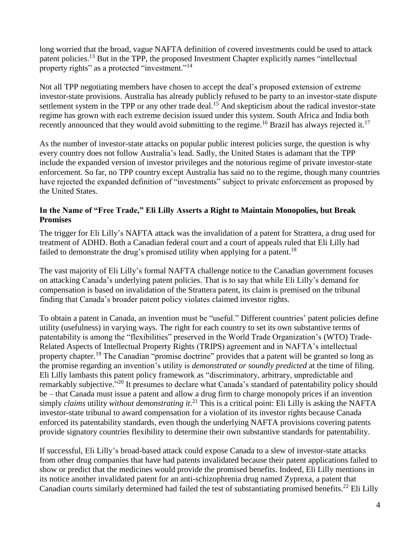long worried that the broad, vague NAFTA definition of covered investments could be used to attack patent policies.<sup>13</sup> But in the TPP, the proposed Investment Chapter explicitly names "intellectual" property rights" as a protected "investment."<sup>14</sup>

Not all TPP negotiating members have chosen to accept the deal's proposed extension of extreme investor-state provisions. Australia has already publicly refused to be party to an investor-state dispute settlement system in the TPP or any other trade deal.<sup>15</sup> And skepticism about the radical investor-state regime has grown with each extreme decision issued under this system. South Africa and India both recently announced that they would avoid submitting to the regime.<sup>16</sup> Brazil has always rejected it.<sup>17</sup>

As the number of investor-state attacks on popular public interest policies surge, the question is why every country does not follow Australia's lead. Sadly, the United States is adamant that the TPP include the expanded version of investor privileges and the notorious regime of private investor-state enforcement. So far, no TPP country except Australia has said no to the regime, though many countries have rejected the expanded definition of "investments" subject to private enforcement as proposed by the United States.

#### **In the Name of "Free Trade," Eli Lilly Asserts a Right to Maintain Monopolies, but Break Promises**

The trigger for Eli Lilly's NAFTA attack was the invalidation of a patent for Strattera, a drug used for treatment of ADHD. Both a Canadian federal court and a court of appeals ruled that Eli Lilly had failed to demonstrate the drug's promised utility when applying for a patent.<sup>18</sup>

The vast majority of Eli Lilly's formal NAFTA challenge notice to the Canadian government focuses on attacking Canada's underlying patent policies. That is to say that while Eli Lilly's demand for compensation is based on invalidation of the Strattera patent, its claim is premised on the tribunal finding that Canada's broader patent policy violates claimed investor rights.

To obtain a patent in Canada, an invention must be "useful." Different countries' patent policies define utility (usefulness) in varying ways. The right for each country to set its own substantive terms of patentability is among the "flexibilities" preserved in the World Trade Organization's (WTO) Trade-Related Aspects of Intellectual Property Rights (TRIPS) agreement and in NAFTA's intellectual property chapter.<sup>19</sup> The Canadian "promise doctrine" provides that a patent will be granted so long as the promise regarding an invention's utility is *demonstrated or soundly predicted* at the time of filing. Eli Lilly lambasts this patent policy framework as "discriminatory, arbitrary, unpredictable and remarkably subjective."<sup>20</sup> It presumes to declare what Canada's standard of patentability policy should be – that Canada must issue a patent and allow a drug firm to charge monopoly prices if an invention simply *claims* utility *without demonstrating it*. <sup>21</sup> This is a critical point: Eli Lilly is asking the NAFTA investor-state tribunal to award compensation for a violation of its investor rights because Canada enforced its patentability standards, even though the underlying NAFTA provisions covering patents provide signatory countries flexibility to determine their own substantive standards for patentability.

If successful, Eli Lilly's broad-based attack could expose Canada to a slew of investor-state attacks from other drug companies that have had patents invalidated because their patent applications failed to show or predict that the medicines would provide the promised benefits. Indeed, Eli Lilly mentions in its notice another invalidated patent for an anti-schizophrenia drug named Zyprexa, a patent that Canadian courts similarly determined had failed the test of substantiating promised benefits.<sup>22</sup> Eli Lilly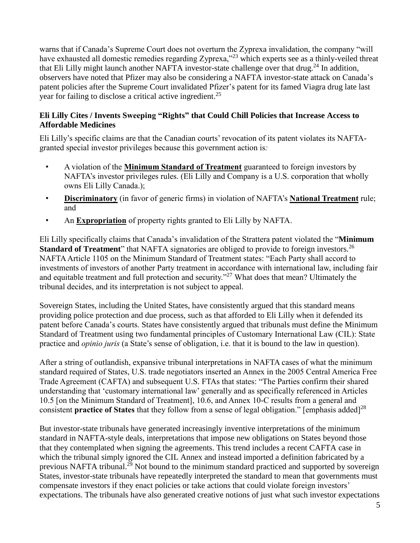warns that if Canada's Supreme Court does not overturn the Zyprexa invalidation, the company "will have exhausted all domestic remedies regarding Zyprexa,"<sup>23</sup> which experts see as a thinly-veiled threat that Eli Lilly might launch another NAFTA investor-state challenge over that drug.<sup>24</sup> In addition, observers have noted that Pfizer may also be considering a NAFTA investor-state attack on Canada's patent policies after the Supreme Court invalidated Pfizer's patent for its famed Viagra drug late last year for failing to disclose a critical active ingredient.<sup>25</sup>

#### **Eli Lilly Cites / Invents Sweeping "Rights" that Could Chill Policies that Increase Access to Affordable Medicines**

Eli Lilly's specific claims are that the Canadian courts' revocation of its patent violates its NAFTAgranted special investor privileges because this government action is*:*

- A violation of the **Minimum Standard of Treatment** guaranteed to foreign investors by NAFTA's investor privileges rules. (Eli Lilly and Company is a U.S. corporation that wholly owns Eli Lilly Canada.);
- **Discriminatory** (in favor of generic firms) in violation of NAFTA's **National Treatment** rule; and
- An **Expropriation** of property rights granted to Eli Lilly by NAFTA.

Eli Lilly specifically claims that Canada's invalidation of the Strattera patent violated the "**Minimum Standard of Treatment**" that NAFTA signatories are obliged to provide to foreign investors.<sup>26</sup> NAFTA Article 1105 on the Minimum Standard of Treatment states: "Each Party shall accord to investments of investors of another Party treatment in accordance with international law, including fair and equitable treatment and full protection and security."<sup>27</sup> What does that mean? Ultimately the tribunal decides, and its interpretation is not subject to appeal.

Sovereign States, including the United States, have consistently argued that this standard means providing police protection and due process, such as that afforded to Eli Lilly when it defended its patent before Canada's courts. States have consistently argued that tribunals must define the Minimum Standard of Treatment using two fundamental principles of Customary International Law (CIL): State practice and *opinio juris* (a State's sense of obligation, i.e. that it is bound to the law in question).

After a string of outlandish, expansive tribunal interpretations in NAFTA cases of what the minimum standard required of States, U.S. trade negotiators inserted an Annex in the 2005 Central America Free Trade Agreement (CAFTA) and subsequent U.S. FTAs that states: "The Parties confirm their shared understanding that 'customary international law' generally and as specifically referenced in Articles 10.5 [on the Minimum Standard of Treatment], 10.6, and Annex 10-C results from a general and consistent **practice of States** that they follow from a sense of legal obligation." [emphasis added] 28

But investor-state tribunals have generated increasingly inventive interpretations of the minimum standard in NAFTA-style deals, interpretations that impose new obligations on States beyond those that they contemplated when signing the agreements. This trend includes a recent CAFTA case in which the tribunal simply ignored the CIL Annex and instead imported a definition fabricated by a previous NAFTA tribunal.<sup>29</sup> Not bound to the minimum standard practiced and supported by sovereign States, investor-state tribunals have repeatedly interpreted the standard to mean that governments must compensate investors if they enact policies or take actions that could violate foreign investors' expectations. The tribunals have also generated creative notions of just what such investor expectations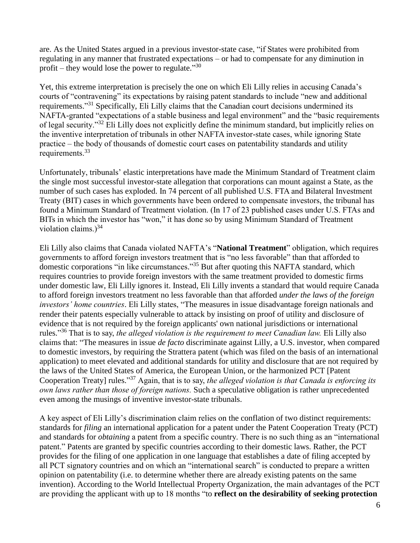are. As the United States argued in a previous investor-state case, "if States were prohibited from regulating in any manner that frustrated expectations – or had to compensate for any diminution in profit – they would lose the power to regulate." $30$ 

Yet, this extreme interpretation is precisely the one on which Eli Lilly relies in accusing Canada's courts of "contravening" its expectations by raising patent standards to include "new and additional requirements."<sup>31</sup> Specifically, Eli Lilly claims that the Canadian court decisions undermined its NAFTA-granted "expectations of a stable business and legal environment" and the "basic requirements of legal security."<sup>32</sup> Eli Lilly does not explicitly define the minimum standard, but implicitly relies on the inventive interpretation of tribunals in other NAFTA investor-state cases, while ignoring State practice – the body of thousands of domestic court cases on patentability standards and utility requirements.<sup>33</sup>

Unfortunately, tribunals' elastic interpretations have made the Minimum Standard of Treatment claim the single most successful investor-state allegation that corporations can mount against a State, as the number of such cases has exploded. In 74 percent of all published U.S. FTA and Bilateral Investment Treaty (BIT) cases in which governments have been ordered to compensate investors, the tribunal has found a Minimum Standard of Treatment violation. (In 17 of 23 published cases under U.S. FTAs and BITs in which the investor has "won," it has done so by using Minimum Standard of Treatment violation claims.) $34$ 

Eli Lilly also claims that Canada violated NAFTA's "**National Treatment**" obligation, which requires governments to afford foreign investors treatment that is "no less favorable" than that afforded to domestic corporations "in like circumstances."<sup>35</sup> But after quoting this NAFTA standard, which requires countries to provide foreign investors with the same treatment provided to domestic firms under domestic law, Eli Lilly ignores it. Instead, Eli Lilly invents a standard that would require Canada to afford foreign investors treatment no less favorable than that afforded *under the laws of the foreign investors' home countries*. Eli Lilly states, "The measures in issue disadvantage foreign nationals and render their patents especially vulnerable to attack by insisting on proof of utility and disclosure of evidence that is not required by the foreign applicants' own national jurisdictions or international rules." <sup>36</sup> That is to say, *the alleged violation is the requirement to meet Canadian law.* Eli Lilly also claims that: "The measures in issue *de facto* discriminate against Lilly, a U.S. investor, when compared to domestic investors, by requiring the Strattera patent (which was filed on the basis of an international application) to meet elevated and additional standards for utility and disclosure that are not required by the laws of the United States of America, the European Union, or the harmonized PCT [Patent Cooperation Treaty] rules."<sup>37</sup> Again, that is to say, *the alleged violation is that Canada is enforcing its own laws rather than those of foreign nations.* Such a speculative obligation is rather unprecedented even among the musings of inventive investor-state tribunals.

A key aspect of Eli Lilly's discrimination claim relies on the conflation of two distinct requirements: standards for *filing* an international application for a patent under the Patent Cooperation Treaty (PCT) and standards for *obtaining* a patent from a specific country. There is no such thing as an "international patent." Patents are granted by specific countries according to their domestic laws. Rather, the PCT provides for the filing of one application in one language that establishes a date of filing accepted by all PCT signatory countries and on which an "international search" is conducted to prepare a written opinion on patentability (i.e. to determine whether there are already existing patents on the same invention). According to the World Intellectual Property Organization, the main advantages of the PCT are providing the applicant with up to 18 months "to **reflect on the desirability of seeking protection**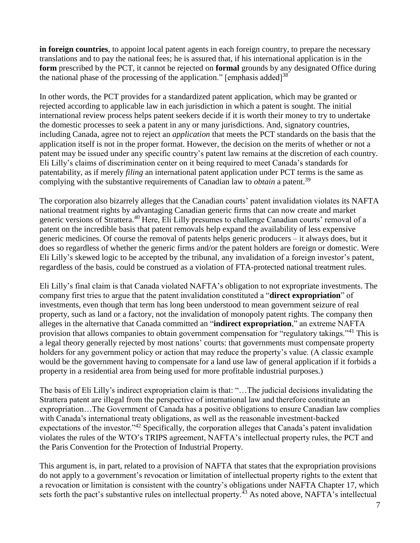**in foreign countries**, to appoint local patent agents in each foreign country, to prepare the necessary translations and to pay the national fees; he is assured that, if his international application is in the **form** prescribed by the PCT, it cannot be rejected on **formal** grounds by any designated Office during the national phase of the processing of the application." [emphasis added]<sup>38</sup>

In other words, the PCT provides for a standardized patent application, which may be granted or rejected according to applicable law in each jurisdiction in which a patent is sought. The initial international review process helps patent seekers decide if it is worth their money to try to undertake the domestic processes to seek a patent in any or many jurisdictions. And, signatory countries, including Canada, agree not to reject an *application* that meets the PCT standards on the basis that the application itself is not in the proper format. However, the decision on the merits of whether or not a patent may be issued under any specific country's patent law remains at the discretion of each country. Eli Lilly's claims of discrimination center on it being required to meet Canada's standards for patentability, as if merely *filing* an international patent application under PCT terms is the same as complying with the substantive requirements of Canadian law to *obtain* a patent.<sup>39</sup>

The corporation also bizarrely alleges that the Canadian courts' patent invalidation violates its NAFTA national treatment rights by advantaging Canadian generic firms that can now create and market generic versions of Strattera.<sup>40</sup> Here, Eli Lilly presumes to challenge Canadian courts' removal of a patent on the incredible basis that patent removals help expand the availability of less expensive generic medicines. Of course the removal of patents helps generic producers – it always does, but it does so regardless of whether the generic firms and/or the patent holders are foreign or domestic. Were Eli Lilly's skewed logic to be accepted by the tribunal, any invalidation of a foreign investor's patent, regardless of the basis, could be construed as a violation of FTA-protected national treatment rules.

Eli Lilly's final claim is that Canada violated NAFTA's obligation to not expropriate investments. The company first tries to argue that the patent invalidation constituted a "**direct expropriation**" of investments, even though that term has long been understood to mean government seizure of real property, such as land or a factory, not the invalidation of monopoly patent rights. The company then alleges in the alternative that Canada committed an "**indirect expropriation**," an extreme NAFTA provision that allows companies to obtain government compensation for "regulatory takings."<sup>41</sup> This is a legal theory generally rejected by most nations' courts: that governments must compensate property holders for any government policy or action that may reduce the property's value. (A classic example would be the government having to compensate for a land use law of general application if it forbids a property in a residential area from being used for more profitable industrial purposes.)

The basis of Eli Lilly's indirect expropriation claim is that: "…The judicial decisions invalidating the Strattera patent are illegal from the perspective of international law and therefore constitute an expropriation…The Government of Canada has a positive obligations to ensure Canadian law complies with Canada's international treaty obligations, as well as the reasonable investment-backed expectations of the investor."<sup>42</sup> Specifically, the corporation alleges that Canada's patent invalidation violates the rules of the WTO's TRIPS agreement, NAFTA's intellectual property rules, the PCT and the Paris Convention for the Protection of Industrial Property.

This argument is, in part, related to a provision of NAFTA that states that the expropriation provisions do not apply to a government's revocation or limitation of intellectual property rights to the extent that a revocation or limitation is consistent with the country's obligations under NAFTA Chapter 17, which sets forth the pact's substantive rules on intellectual property.<sup>43</sup> As noted above, NAFTA's intellectual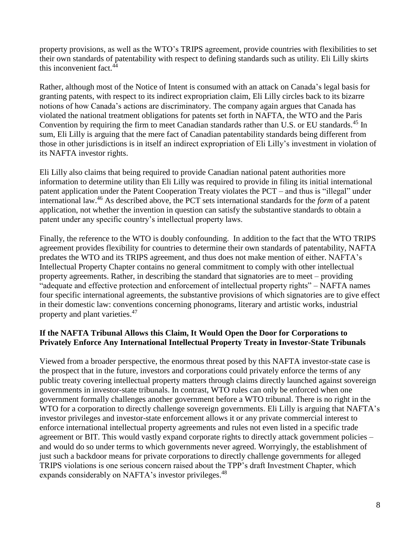property provisions, as well as the WTO's TRIPS agreement, provide countries with flexibilities to set their own standards of patentability with respect to defining standards such as utility. Eli Lilly skirts this inconvenient fact.<sup>44</sup>

Rather, although most of the Notice of Intent is consumed with an attack on Canada's legal basis for granting patents, with respect to its indirect expropriation claim, Eli Lilly circles back to its bizarre notions of how Canada's actions are discriminatory. The company again argues that Canada has violated the national treatment obligations for patents set forth in NAFTA, the WTO and the Paris Convention by requiring the firm to meet Canadian standards rather than U.S. or EU standards.<sup>45</sup> In sum, Eli Lilly is arguing that the mere fact of Canadian patentability standards being different from those in other jurisdictions is in itself an indirect expropriation of Eli Lilly's investment in violation of its NAFTA investor rights.

Eli Lilly also claims that being required to provide Canadian national patent authorities more information to determine utility than Eli Lilly was required to provide in filing its initial international patent application under the Patent Cooperation Treaty violates the PCT – and thus is "illegal" under international law. <sup>46</sup> As described above, the PCT sets international standards for the *form* of a patent application, not whether the invention in question can satisfy the substantive standards to obtain a patent under any specific country's intellectual property laws.

Finally, the reference to the WTO is doubly confounding. In addition to the fact that the WTO TRIPS agreement provides flexibility for countries to determine their own standards of patentability, NAFTA predates the WTO and its TRIPS agreement, and thus does not make mention of either. NAFTA's Intellectual Property Chapter contains no general commitment to comply with other intellectual property agreements. Rather, in describing the standard that signatories are to meet – providing "adequate and effective protection and enforcement of intellectual property rights" – NAFTA names four specific international agreements, the substantive provisions of which signatories are to give effect in their domestic law: conventions concerning phonograms, literary and artistic works, industrial property and plant varieties.<sup>47</sup>

## **If the NAFTA Tribunal Allows this Claim, It Would Open the Door for Corporations to Privately Enforce Any International Intellectual Property Treaty in Investor-State Tribunals**

Viewed from a broader perspective, the enormous threat posed by this NAFTA investor-state case is the prospect that in the future, investors and corporations could privately enforce the terms of any public treaty covering intellectual property matters through claims directly launched against sovereign governments in investor-state tribunals. In contrast, WTO rules can only be enforced when one government formally challenges another government before a WTO tribunal. There is no right in the WTO for a corporation to directly challenge sovereign governments. Eli Lilly is arguing that NAFTA's investor privileges and investor-state enforcement allows it or any private commercial interest to enforce international intellectual property agreements and rules not even listed in a specific trade agreement or BIT. This would vastly expand corporate rights to directly attack government policies – and would do so under terms to which governments never agreed. Worryingly, the establishment of just such a backdoor means for private corporations to directly challenge governments for alleged TRIPS violations is one serious concern raised about the TPP's draft Investment Chapter, which expands considerably on NAFTA's investor privileges.<sup>48</sup>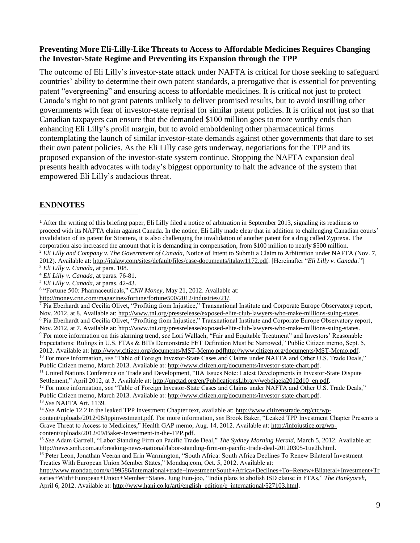#### **Preventing More Eli-Lilly-Like Threats to Access to Affordable Medicines Requires Changing the Investor-State Regime and Preventing its Expansion through the TPP**

The outcome of Eli Lilly's investor-state attack under NAFTA is critical for those seeking to safeguard countries' ability to determine their own patent standards, a prerogative that is essential for preventing patent "evergreening" and ensuring access to affordable medicines. It is critical not just to protect Canada's right to not grant patents unlikely to deliver promised results, but to avoid instilling other governments with fear of investor-state reprisal for similar patent policies. It is critical not just so that Canadian taxpayers can ensure that the demanded \$100 million goes to more worthy ends than enhancing Eli Lilly's profit margin, but to avoid emboldening other pharmaceutical firms contemplating the launch of similar investor-state demands against other governments that dare to set their own patent policies. As the Eli Lilly case gets underway, negotiations for the TPP and its proposed expansion of the investor-state system continue. Stopping the NAFTA expansion deal presents health advocates with today's biggest opportunity to halt the advance of the system that empowered Eli Lilly's audacious threat.

# **ENDNOTES**

 $\overline{a}$ 

<sup>4</sup> *Eli Lilly v. Canada*, at paras. 76-81.

Settlement," April 2012, at 3. Available at: [http://unctad.org/en/PublicationsLibrary/webdiaeia2012d10\\_en.pdf.](http://unctad.org/en/PublicationsLibrary/webdiaeia2012d10_en.pdf) <sup>12</sup> For more information, see "Table of Foreign Investor-State Cases and Claims under NAFTA and Other U.S. Trade Deals," Public Citizen memo, March 2013. Available at[: http://www.citizen.org/documents/investor-state-chart.pdf.](http://www.citizen.org/documents/investor-state-chart.pdf) <sup>13</sup> *See* NAFTA Art. 1139.

<sup>14</sup> *See* Article 12.2 in the leaked TPP Investment Chapter text, available at: [http://www.citizenstrade.org/ctc/wp](http://www.citizenstrade.org/ctc/wp-content/uploads/2012/06/tppinvestment.pdf)[content/uploads/2012/06/tppinvestment.pdf.](http://www.citizenstrade.org/ctc/wp-content/uploads/2012/06/tppinvestment.pdf) For more information, *see* Brook Baker, "Leaked TPP Investment Chapter Presents a Grave Threat to Access to Medicines," Health GAP memo, Aug. 14, 2012. Available at: [http://infojustice.org/wp](http://infojustice.org/wp-content/uploads/2012/09/Baker-Investment-in-the-TPP.pdf)[content/uploads/2012/09/Baker-Investment-in-the-TPP.pdf.](http://infojustice.org/wp-content/uploads/2012/09/Baker-Investment-in-the-TPP.pdf)

<sup>15</sup> *See* Adam Gartrell, "Labor Standing Firm on Pacific Trade Deal," *The Sydney Morning Herald*, March 5, 2012. Available at: [http://news.smh.com.au/breaking-news-national/labor-standing-firm-on-pacific-trade-deal-20120305-1ue2b.html.](http://news.smh.com.au/breaking-news-national/labor-standing-firm-on-pacific-trade-deal-20120305-1ue2b.html)

<sup>16</sup> Peter Leon, Jonathan Veeran and Erin Warmington, "South Africa: South Africa Declines To Renew Bilateral Investment Treaties With European Union Member States," Mondaq.com, Oct. 5, 2012. Available at:

[http://www.mondaq.com/x/199586/international+trade+investment/South+Africa+Declines+To+Renew+Bilateral+Investment+Tr](http://www.mondaq.com/x/199586/international+trade+investment/South+Africa+Declines+To+Renew+Bilateral+Investment+Treaties+With+European+Union+Member+States) [eaties+With+European+Union+Member+States.](http://www.mondaq.com/x/199586/international+trade+investment/South+Africa+Declines+To+Renew+Bilateral+Investment+Treaties+With+European+Union+Member+States) Jung Eun-joo, "India plans to abolish ISD clause in FTAs," *The Hankyoreh*, April 6, 2012. Available at: [http://www.hani.co.kr/arti/english\\_edition/e\\_international/527103.html.](http://www.hani.co.kr/arti/english_edition/e_international/527103.html)

<sup>&</sup>lt;sup>1</sup> After the writing of this briefing paper, Eli Lilly filed a notice of arbitration in September 2013, signaling its readiness to proceed with its NAFTA claim against Canada. In the notice, Eli Lilly made clear that in addition to challenging Canadian courts' invalidation of its patent for Strattera, it is also challenging the invalidation of another patent for a drug called Zyprexa. The corporation also increased the amount that it is demanding in compensation, from \$100 million to nearly \$500 million. <sup>2</sup> *Eli Lilly and Company v. The Government of Canada,* Notice of Intent to Submit a Claim to Arbitration under NAFTA (Nov. 7, 2012). Available at[: http://italaw.com/sites/default/files/case-documents/italaw1172.pdf.](http://italaw.com/sites/default/files/case-documents/italaw1172.pdf) [Hereinafter "*Eli Lilly v. Canada*."]

<sup>3</sup> *Eli Lilly v. Canada*, at para. 108.

<sup>5</sup> *Eli Lilly v. Canada*, at paras. 42-43.

<sup>6</sup> "Fortune 500: Pharmaceuticals," *CNN Money*, May 21, 2012. Available at:

[http://money.cnn.com/magazines/fortune/fortune500/2012/industries/21/.](http://money.cnn.com/magazines/fortune/fortune500/2012/industries/21/)

<sup>&</sup>lt;sup>7</sup> Pia Eberhardt and Cecilia Olivet, "Profiting from Injustice," Transnational Institute and Corporate Europe Observatory report, Nov. 2012, at 8. Available at: [http://www.tni.org/pressrelease/exposed-elite-club-lawyers-who-make-millions-suing-states.](http://www.tni.org/pressrelease/exposed-elite-club-lawyers-who-make-millions-suing-states) <sup>8</sup> Pia Eberhardt and Cecilia Olivet, "Profiting from Injustice," Transnational Institute and Corporate Europe Observatory report, Nov. 2012, at 7. Available at: [http://www.tni.org/pressrelease/exposed-elite-club-lawyers-who-make-millions-suing-states.](http://www.tni.org/pressrelease/exposed-elite-club-lawyers-who-make-millions-suing-states) <sup>9</sup> For more information on this alarming trend, *see* Lori Wallach, "Fair and Equitable Treatment" and Investors' Reasonable Expectations: Rulings in U.S. FTAs & BITs Demonstrate FET Definition Must be Narrowed," Public Citizen memo, Sept. 5, 2012. Available at[: http://www.citizen.org/documents/MST-Memo.pdfhttp://www.citizen.org/documents/MST-Memo.pdf.](http://www.citizen.org/documents/MST-Memo.pdf) <sup>10</sup> For more information, *see* "Table of Foreign Investor-State Cases and Claims under NAFTA and Other U.S. Trade Deals," Public Citizen memo, March 2013. Available at[: http://www.citizen.org/documents/investor-state-chart.pdf.](http://www.citizen.org/documents/investor-state-chart.pdf) <sup>11</sup> United Nations Conference on Trade and Development, "IIA Issues Note: Latest Developments in Investor-State Dispute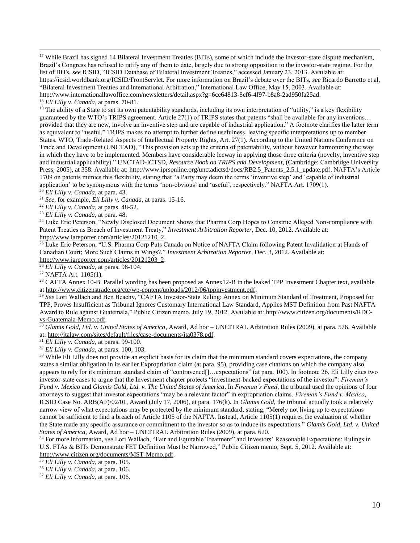<sup>17</sup> While Brazil has signed 14 Bilateral Investment Treaties (BITs), some of which include the investor-state dispute mechanism, Brazil's Congress has refused to ratify any of them to date, largely due to strong opposition to the investor-state regime. For the list of BITs, *see* ICSID, "ICSID Database of Bilateral Investment Treaties," accessed January 23, 2013. Available at: [https://icsid.worldbank.org/ICSID/FrontServlet.](https://icsid.worldbank.org/ICSID/FrontServlet) For more information on Brazil's debate over the BITs, *see* Ricardo Barretto et al, "Bilateral Investment Treaties and International Arbitration," International Law Office, May 15, 2003. Available at: [http://www.internationallawoffice.com/newsletters/detail.aspx?g=6ce64813-8cf6-4f97-b8a8-2ad950fa25ad.](http://www.internationallawoffice.com/newsletters/detail.aspx?g=6ce64813-8cf6-4f97-b8a8-2ad950fa25ad) 

<sup>18</sup> *Eli Lilly v. Canada*, at paras. 70-81.

 $\overline{a}$ 

<sup>19</sup> The ability of a State to set its own patentability standards, including its own interpretation of "utility," is a key flexibility guaranteed by the WTO's TRIPS agreement. Article 27(1) of TRIPS states that patents "shall be available for any inventions… provided that they are new, involve an inventive step and are capable of industrial application." A footnote clarifies the latter term as equivalent to "useful." TRIPS makes no attempt to further define usefulness, leaving specific interpretations up to member States. WTO, Trade-Related Aspects of Intellectual Property Rights, Art. 27(1). According to the United Nations Conference on Trade and Development (UNCTAD), "This provision sets up the criteria of patentability, without however harmonizing the way in which they have to be implemented. Members have considerable leeway in applying those three criteria (novelty, inventive step and industrial applicability)." UNCTAD-ICTSD, *Resource Book on TRIPS and Development*, (Cambridge: Cambridge University Press, 2005), at 358. Available at[: http://www.iprsonline.org/unctadictsd/docs/RB2.5\\_Patents\\_2.5.1\\_update.pdf.](http://www.iprsonline.org/unctadictsd/docs/RB2.5_Patents_2.5.1_update.pdf) NAFTA's Article 1709 on patents mimics this flexibility, stating that "a Party may deem the terms 'inventive step' and 'capable of industrial application' to be synonymous with the terms 'non-obvious' and 'useful', respectively." NAFTA Art. 1709(1).

<sup>20</sup> *Eli Lilly v. Canada*, at para. 43.

<sup>21</sup> *See,* for example, *Eli Lilly v. Canada*, at paras. 15-16.

<sup>22</sup> *Eli Lilly v. Canada*, at paras. 48-52.

<sup>23</sup> *Eli Lilly v. Canada*, at para. 48.

<sup>24</sup> Luke Eric Peterson, "Newly Disclosed Document Shows that Pharma Corp Hopes to Construe Alleged Non-compliance with Patent Treaties as Breach of Investment Treaty," *Investment Arbitration Reporter*, Dec. 10, 2012. Available at: [http://www.iareporter.com/articles/20121210\\_2.](http://www.iareporter.com/articles/20121210_2)

<sup>25</sup> Luke Eric Peterson, "U.S. Pharma Corp Puts Canada on Notice of NAFTA Claim following Patent Invalidation at Hands of Canadian Court; More Such Claims in Wings?," *Investment Arbitration Reporter*, Dec. 3, 2012. Available at: [http://www.iareporter.com/articles/20121203\\_2.](http://www.iareporter.com/articles/20121203_2)

<sup>26</sup> *Eli Lilly v. Canada*, at paras. 98-104.

<sup>27</sup> NAFTA Art. 1105(1).

 $28$  CAFTA Annex 10-B. Parallel wording has been proposed as Annex12-B in the leaked TPP Investment Chapter text, available at [http://www.citizenstrade.org/ctc/wp-content/uploads/2012/06/tppinvestment.pdf.](http://www.citizenstrade.org/ctc/wp-content/uploads/2012/06/tppinvestment.pdf)

<sup>29</sup> *See* Lori Wallach and Ben Beachy, "CAFTA Investor-State Ruling: Annex on Minimum Standard of Treatment, Proposed for TPP, Proves Insufficient as Tribunal Ignores Customary International Law Standard, Applies MST Definition from Past NAFTA Award to Rule against Guatemala," Public Citizen memo, July 19, 2012. Available at[: http://www.citizen.org/documents/RDC](http://www.citizen.org/documents/RDC-vs-Guatemala-Memo.pdf)[vs-Guatemala-Memo.pdf.](http://www.citizen.org/documents/RDC-vs-Guatemala-Memo.pdf) 

<sup>30</sup> *Glamis Gold, Ltd. v. United States of America*, Award, Ad hoc – UNCITRAL Arbitration Rules (2009), at para. 576. Available at[: http://italaw.com/sites/default/files/case-documents/ita0378.pdf.](http://italaw.com/sites/default/files/case-documents/ita0378.pdf)

<sup>31</sup> *Eli Lilly v. Canada*, at paras. 99-100.

<sup>32</sup> *Eli Lilly v. Canada*, at paras. 100, 103.

<sup>33</sup> While Eli Lilly does not provide an explicit basis for its claim that the minimum standard covers expectations, the company states a similar obligation in its earlier Expropriation claim (at para. 95), providing case citations on which the company also appears to rely for its minimum standard claim of "contravened[]…expectations" (at para. 100). In footnote 26, Eli Lilly cites two investor-state cases to argue that the Investment chapter protects "investment-backed expectations of the investor": *Fireman's Fund v. Mexico* and *Glamis Gold, Ltd. v. The United States of America*. In *Fireman's Fund*, the tribunal used the opinions of four attorneys to suggest that investor expectations "may be a relevant factor" in expropriation claims. *Fireman's Fund v. Mexico*, ICSID Case No. ARB(AF)/02/01, Award (July 17, 2006), at para. 176(k). In *Glamis Gold*, the tribunal actually took a relatively narrow view of what expectations may be protected by the minimum standard, stating, "Merely not living up to expectations cannot be sufficient to find a breach of Article 1105 of the NAFTA. Instead, Article 1105(1) requires the evaluation of whether the State made any specific assurance or commitment to the investor so as to induce its expectations." *Glamis Gold, Ltd. v. United States of America*, Award, Ad hoc – UNCITRAL Arbitration Rules (2009), at para. 620.

<sup>34</sup> For more information, *see* Lori Wallach, "Fair and Equitable Treatment" and Investors' Reasonable Expectations: Rulings in U.S. FTAs & BITs Demonstrate FET Definition Must be Narrowed," Public Citizen memo, Sept. 5, 2012. Available at: [http://www.citizen.org/documents/MST-Memo.pdf.](http://www.citizen.org/documents/MST-Memo.pdf)

<sup>35</sup> *Eli Lilly v. Canada*, at para. 105.

<sup>36</sup> *Eli Lilly v. Canada*, at para. 106.

<sup>37</sup> *Eli Lilly v. Canada*, at para. 106.